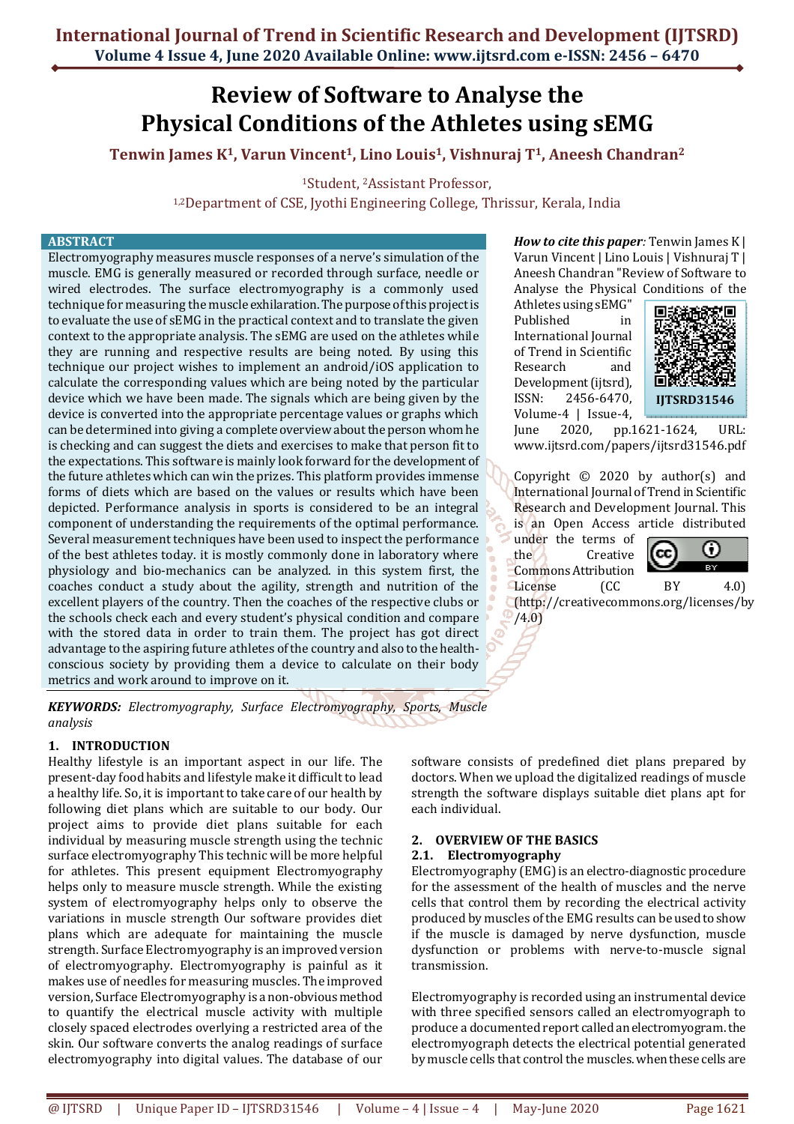# **Review of Software to Analyse the Physical Conditions of the Athletes using sEMG**

**Tenwin James K1, Varun Vincent1, Lino Louis1, Vishnuraj T1, Aneesh Chandran<sup>2</sup>**

<sup>1</sup>Student, 2Assistant Professor,

1,2Department of CSE, Jyothi Engineering College, Thrissur, Kerala, India

#### **ABSTRACT**

Electromyography measures muscle responses of a nerve's simulation of the muscle. EMG is generally measured or recorded through surface, needle or wired electrodes. The surface electromyography is a commonly used technique for measuring the muscle exhilaration. The purpose of this project is to evaluate the use of sEMG in the practical context and to translate the given context to the appropriate analysis. The sEMG are used on the athletes while they are running and respective results are being noted. By using this technique our project wishes to implement an android/iOS application to calculate the corresponding values which are being noted by the particular device which we have been made. The signals which are being given by the device is converted into the appropriate percentage values or graphs which can be determined into giving a complete overview about the person whom he is checking and can suggest the diets and exercises to make that person fit to the expectations. This software is mainly look forward for the development of the future athletes which can win the prizes. This platform provides immense forms of diets which are based on the values or results which have been depicted. Performance analysis in sports is considered to be an integral component of understanding the requirements of the optimal performance. Several measurement techniques have been used to inspect the performance of the best athletes today. it is mostly commonly done in laboratory where physiology and bio-mechanics can be analyzed. in this system first, the coaches conduct a study about the agility, strength and nutrition of the excellent players of the country. Then the coaches of the respective clubs or the schools check each and every student's physical condition and compare with the stored data in order to train them. The project has got direct advantage to the aspiring future athletes of the country and also to the healthconscious society by providing them a device to calculate on their body metrics and work around to improve on it.

*How to cite this paper:* Tenwin James K | Varun Vincent | Lino Louis | Vishnuraj T | Aneesh Chandran "Review of Software to Analyse the Physical Conditions of the

Athletes using sEMG" Published in International Journal of Trend in Scientific Research and Development (ijtsrd), ISSN: 2456-6470, Volume-4 | Issue-4,



June 2020, pp.1621-1624, URL: www.ijtsrd.com/papers/ijtsrd31546.pdf

Copyright © 2020 by author(s) and International Journal of Trend in Scientific Research and Development Journal. This is an Open Access article distributed

under the terms of the Creative Commons Attribution License (CC BY 4.0)



(http://creativecommons.org/licenses/by /4.0)

*KEYWORDS: Electromyography, Surface Electromyography, Sports, Muscle analysis* 

#### **1. INTRODUCTION**

Healthy lifestyle is an important aspect in our life. The present-day food habits and lifestyle make it difficult to lead a healthy life. So, it is important to take care of our health by following diet plans which are suitable to our body. Our project aims to provide diet plans suitable for each individual by measuring muscle strength using the technic surface electromyography This technic will be more helpful for athletes. This present equipment Electromyography helps only to measure muscle strength. While the existing system of electromyography helps only to observe the variations in muscle strength Our software provides diet plans which are adequate for maintaining the muscle strength. Surface Electromyography is an improved version of electromyography. Electromyography is painful as it makes use of needles for measuring muscles. The improved version, Surface Electromyography is a non-obvious method to quantify the electrical muscle activity with multiple closely spaced electrodes overlying a restricted area of the skin. Our software converts the analog readings of surface electromyography into digital values. The database of our

software consists of predefined diet plans prepared by doctors. When we upload the digitalized readings of muscle strength the software displays suitable diet plans apt for each individual.

#### **2. OVERVIEW OF THE BASICS**

### **2.1. Electromyography**

Electromyography (EMG) is an electro-diagnostic procedure for the assessment of the health of muscles and the nerve cells that control them by recording the electrical activity produced by muscles of the EMG results can be used to show if the muscle is damaged by nerve dysfunction, muscle dysfunction or problems with nerve-to-muscle signal transmission.

Electromyography is recorded using an instrumental device with three specified sensors called an electromyograph to produce a documented report called an electromyogram. the electromyograph detects the electrical potential generated by muscle cells that control the muscles. when these cells are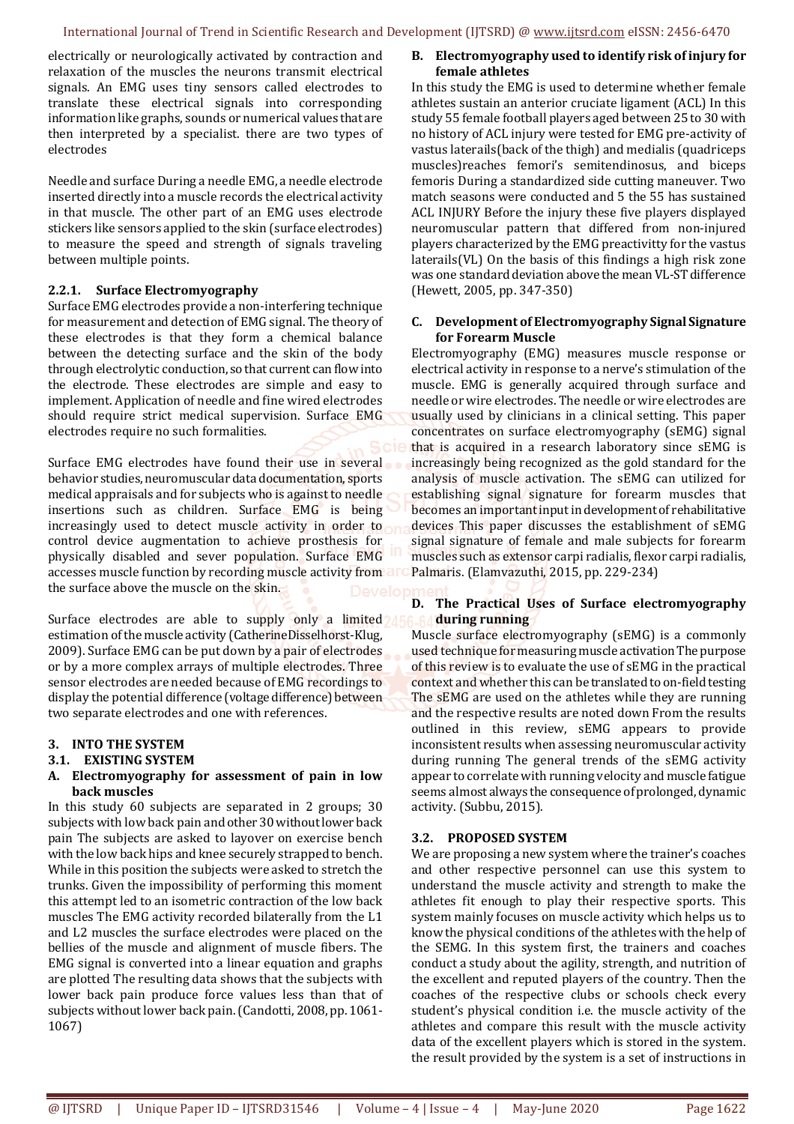electrically or neurologically activated by contraction and relaxation of the muscles the neurons transmit electrical signals. An EMG uses tiny sensors called electrodes to translate these electrical signals into corresponding information like graphs, sounds or numerical values that are then interpreted by a specialist. there are two types of electrodes

Needle and surface During a needle EMG, a needle electrode inserted directly into a muscle records the electrical activity in that muscle. The other part of an EMG uses electrode stickers like sensors applied to the skin (surface electrodes) to measure the speed and strength of signals traveling between multiple points.

#### **2.2.1. Surface Electromyography**

Surface EMG electrodes provide a non-interfering technique for measurement and detection of EMG signal. The theory of these electrodes is that they form a chemical balance between the detecting surface and the skin of the body through electrolytic conduction, so that current can flow into the electrode. These electrodes are simple and easy to implement. Application of needle and fine wired electrodes should require strict medical supervision. Surface EMG electrodes require no such formalities.

Surface EMG electrodes have found their use in several behavior studies, neuromuscular data documentation, sports medical appraisals and for subjects who is against to needle insertions such as children. Surface EMG is being increasingly used to detect muscle activity in order to control device augmentation to achieve prosthesis for physically disabled and sever population. Surface EMG accesses muscle function by recording muscle activity from a the surface above the muscle on the skin.

Surface electrodes are able to supply only a limited 15 estimation of the muscle activity (CatherineDisselhorst-Klug, 2009). Surface EMG can be put down by a pair of electrodes or by a more complex arrays of multiple electrodes. Three sensor electrodes are needed because of EMG recordings to display the potential difference (voltage difference) between two separate electrodes and one with references.

# **3. INTO THE SYSTEM**

# **3.1. EXISTING SYSTEM**

#### **A. Electromyography for assessment of pain in low back muscles**

In this study 60 subjects are separated in 2 groups; 30 subjects with low back pain and other 30 without lower back pain The subjects are asked to layover on exercise bench with the low back hips and knee securely strapped to bench. While in this position the subjects were asked to stretch the trunks. Given the impossibility of performing this moment this attempt led to an isometric contraction of the low back muscles The EMG activity recorded bilaterally from the L1 and L2 muscles the surface electrodes were placed on the bellies of the muscle and alignment of muscle fibers. The EMG signal is converted into a linear equation and graphs are plotted The resulting data shows that the subjects with lower back pain produce force values less than that of subjects without lower back pain. (Candotti, 2008, pp. 1061- 1067)

# **B. Electromyography used to identify risk of injury for female athletes**

In this study the EMG is used to determine whether female athletes sustain an anterior cruciate ligament (ACL) In this study 55 female football players aged between 25 to 30 with no history of ACL injury were tested for EMG pre-activity of vastus laterails(back of the thigh) and medialis (quadriceps muscles)reaches femori's semitendinosus, and biceps femoris During a standardized side cutting maneuver. Two match seasons were conducted and 5 the 55 has sustained ACL INJURY Before the injury these five players displayed neuromuscular pattern that differed from non-injured players characterized by the EMG preactivitty for the vastus laterails(VL) On the basis of this findings a high risk zone was one standard deviation above the mean VL-ST difference (Hewett, 2005, pp. 347-350)

#### **C. Development of Electromyography Signal Signature for Forearm Muscle**

Electromyography (EMG) measures muscle response or electrical activity in response to a nerve's stimulation of the muscle. EMG is generally acquired through surface and needle or wire electrodes. The needle or wire electrodes are usually used by clinicians in a clinical setting. This paper concentrates on surface electromyography (sEMG) signal that is acquired in a research laboratory since sEMG is increasingly being recognized as the gold standard for the analysis of muscle activation. The sEMG can utilized for establishing signal signature for forearm muscles that becomes an important input in development of rehabilitative devices This paper discusses the establishment of sEMG signal signature of female and male subjects for forearm muscles such as extensor carpi radialis, flexor carpi radialis, Palmaris. (Elamvazuthi, 2015, pp. 229-234)

# **D. The Practical Uses of Surface electromyography during running**

Muscle surface electromyography (sEMG) is a commonly used technique for measuring muscle activation The purpose of this review is to evaluate the use of sEMG in the practical context and whether this can be translated to on-field testing The sEMG are used on the athletes while they are running and the respective results are noted down From the results outlined in this review, sEMG appears to provide inconsistent results when assessing neuromuscular activity during running The general trends of the sEMG activity appear to correlate with running velocity and muscle fatigue seems almost always the consequence of prolonged, dynamic activity. (Subbu, 2015).

# **3.2. PROPOSED SYSTEM**

We are proposing a new system where the trainer's coaches and other respective personnel can use this system to understand the muscle activity and strength to make the athletes fit enough to play their respective sports. This system mainly focuses on muscle activity which helps us to know the physical conditions of the athletes with the help of the SEMG. In this system first, the trainers and coaches conduct a study about the agility, strength, and nutrition of the excellent and reputed players of the country. Then the coaches of the respective clubs or schools check every student's physical condition i.e. the muscle activity of the athletes and compare this result with the muscle activity data of the excellent players which is stored in the system. the result provided by the system is a set of instructions in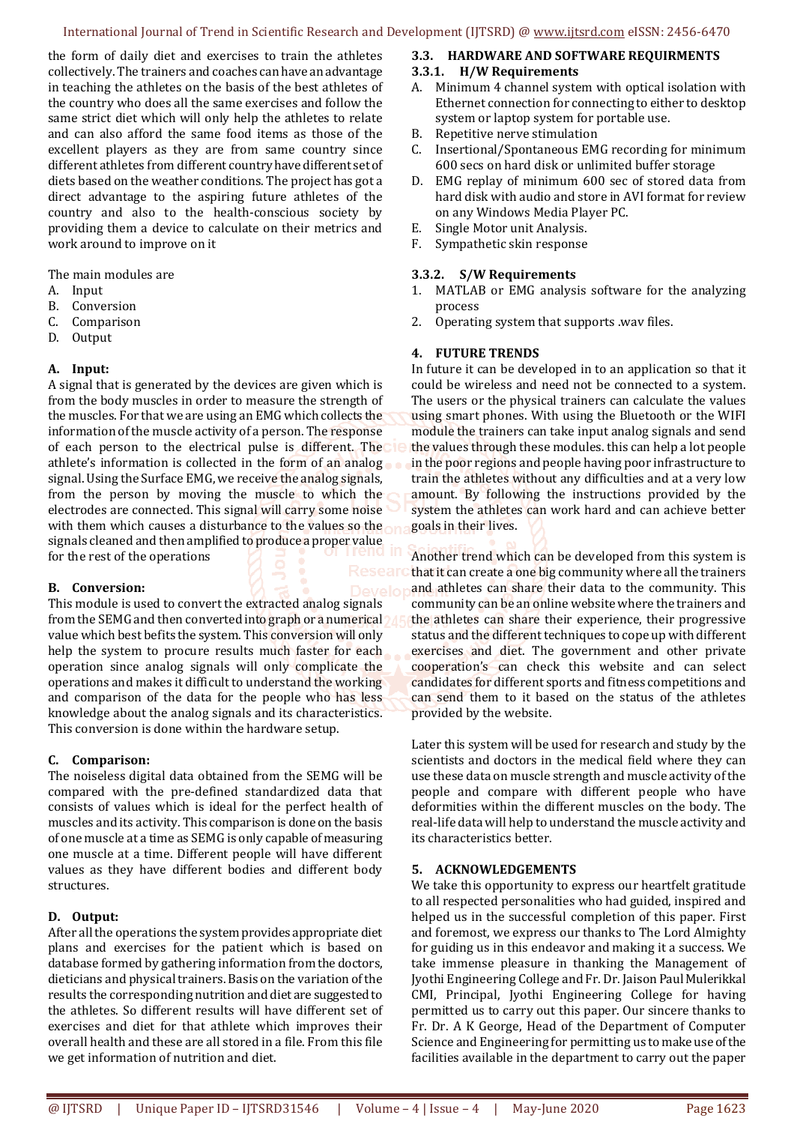the form of daily diet and exercises to train the athletes collectively. The trainers and coaches can have an advantage in teaching the athletes on the basis of the best athletes of the country who does all the same exercises and follow the same strict diet which will only help the athletes to relate and can also afford the same food items as those of the excellent players as they are from same country since different athletes from different country have different set of diets based on the weather conditions. The project has got a direct advantage to the aspiring future athletes of the country and also to the health-conscious society by providing them a device to calculate on their metrics and work around to improve on it

The main modules are

- A. Input
- B. Conversion
- C. Comparison
- D. Output

#### **A. Input:**

A signal that is generated by the devices are given which is from the body muscles in order to measure the strength of the muscles. For that we are using an EMG which collects the information of the muscle activity of a person. The response of each person to the electrical pulse is different. The athlete's information is collected in the form of an analog signal. Using the Surface EMG, we receive the analog signals, from the person by moving the muscle to which the electrodes are connected. This signal will carry some noise with them which causes a disturbance to the values so the signals cleaned and then amplified to produce a proper value for the rest of the operations

#### **B. Conversion:**

This module is used to convert the extracted analog signals from the SEMG and then converted into graph or a numerical value which best befits the system. This conversion will only help the system to procure results much faster for each operation since analog signals will only complicate the operations and makes it difficult to understand the working and comparison of the data for the people who has less knowledge about the analog signals and its characteristics. This conversion is done within the hardware setup.

# **C. Comparison:**

The noiseless digital data obtained from the SEMG will be compared with the pre-defined standardized data that consists of values which is ideal for the perfect health of muscles and its activity. This comparison is done on the basis of one muscle at a time as SEMG is only capable of measuring one muscle at a time. Different people will have different values as they have different bodies and different body structures.

# **D. Output:**

After all the operations the system provides appropriate diet plans and exercises for the patient which is based on database formed by gathering information from the doctors, dieticians and physical trainers. Basis on the variation of the results the corresponding nutrition and diet are suggested to the athletes. So different results will have different set of exercises and diet for that athlete which improves their overall health and these are all stored in a file. From this file we get information of nutrition and diet.

#### **3.3. HARDWARE AND SOFTWARE REQUIRMENTS**

#### **3.3.1. H/W Requirements**

- A. Minimum 4 channel system with optical isolation with Ethernet connection for connecting to either to desktop system or laptop system for portable use.
- B. Repetitive nerve stimulation
- Insertional/Spontaneous EMG recording for minimum 600 secs on hard disk or unlimited buffer storage
- D. EMG replay of minimum 600 sec of stored data from hard disk with audio and store in AVI format for review on any Windows Media Player PC.
- E. Single Motor unit Analysis.
- F. Sympathetic skin response

#### **3.3.2. S/W Requirements**

- 1. MATLAB or EMG analysis software for the analyzing process
- 2. Operating system that supports .wav files.

#### **4. FUTURE TRENDS**

In future it can be developed in to an application so that it could be wireless and need not be connected to a system. The users or the physical trainers can calculate the values using smart phones. With using the Bluetooth or the WIFI module the trainers can take input analog signals and send the values through these modules. this can help a lot people in the poor regions and people having poor infrastructure to train the athletes without any difficulties and at a very low amount. By following the instructions provided by the system the athletes can work hard and can achieve better goals in their lives.

Another trend which can be developed from this system is that it can create a one big community where all the trainers and athletes can share their data to the community. This community can be an online website where the trainers and the athletes can share their experience, their progressive status and the different techniques to cope up with different exercises and diet. The government and other private cooperation's can check this website and can select candidates for different sports and fitness competitions and can send them to it based on the status of the athletes provided by the website.

Later this system will be used for research and study by the scientists and doctors in the medical field where they can use these data on muscle strength and muscle activity of the people and compare with different people who have deformities within the different muscles on the body. The real-life data will help to understand the muscle activity and its characteristics better.

#### **5. ACKNOWLEDGEMENTS**

We take this opportunity to express our heartfelt gratitude to all respected personalities who had guided, inspired and helped us in the successful completion of this paper. First and foremost, we express our thanks to The Lord Almighty for guiding us in this endeavor and making it a success. We take immense pleasure in thanking the Management of Jyothi Engineering College and Fr. Dr. Jaison Paul Mulerikkal CMI, Principal, Jyothi Engineering College for having permitted us to carry out this paper. Our sincere thanks to Fr. Dr. A K George, Head of the Department of Computer Science and Engineering for permitting us to make use of the facilities available in the department to carry out the paper